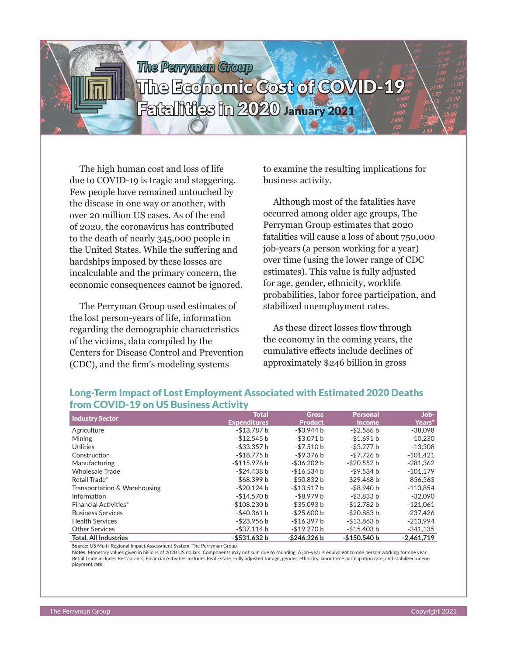## *The Perryman Group*

# The Economic Cost of COVID-19 Fatalities in 2020 January 2021

The high human cost and loss of life due to COVID-19 is tragic and staggering. Few people have remained untouched by the disease in one way or another, with over 20 million US cases. As of the end of 2020, the coronavirus has contributed to the death of nearly 345,000 people in the United States. While the suffering and hardships imposed by these losses are incalculable and the primary concern, the economic consequences cannot be ignored.

The Perryman Group used estimates of the lost person-years of life, information regarding the demographic characteristics of the victims, data compiled by the Centers for Disease Control and Prevention (CDC), and the firm's modeling systems

to examine the resulting implications for business activity.

Although most of the fatalities have occurred among older age groups, The Perryman Group estimates that 2020 fatalities will cause a loss of about 750,000 job-years (a person working for a year) over time (using the lower range of CDC estimates). This value is fully adjusted for age, gender, ethnicity, worklife probabilities, labor force participation, and stabilized unemployment rates.

As these direct losses flow through the economy in the coming years, the cumulative effects include declines of approximately \$246 billion in gross

| <b>Industry Sector</b>       | <b>Total</b>        | <b>Gross</b>   | <b>Personal</b> | Job-         |
|------------------------------|---------------------|----------------|-----------------|--------------|
|                              | <b>Expenditures</b> | <b>Product</b> | <b>Income</b>   | Years*       |
| Agriculture                  | -\$13.787 b         | -\$3.944 b     | -\$2.586 b      | $-38,098$    |
| Mining                       | $-$12.545 b$        | $-$ \$3.071 b  | -\$1.691 b      | $-10.230$    |
| Utilities                    | -\$33.357 b         | $-57.510 b$    | $-$ \$3.277 b   | $-13.308$    |
| Construction                 | -\$18.775 b         | -\$9.376 b     | $-57.726 b$     | $-101.421$   |
| Manufacturing                | $-$115.976 b$       | -\$36.202 b    | $-$ \$20.552 b  | $-281.362$   |
| <b>Wholesale Trade</b>       | $-$ \$24.438 b      | -\$16.534 b    | $-$ \$9.534 b   | $-101.179$   |
| Retail Trade*                | -\$68.399 b         | $-$50.832 b$   | -\$29.468 b     | $-856.563$   |
| Transportation & Warehousing | $-520.124 b$        | $-$ \$13.517 b | $-$ \$8.940 b   | $-113.854$   |
| Information                  | -\$14.570 b         | -\$8.979 b     | $-$ \$3.833 b   | $-32.090$    |
| Financial Activities*        | $-$108.230 b$       | $-$ \$35.093 b | $-$12.782 b$    | $-121.061$   |
| <b>Business Services</b>     | -\$40.361 b         | $-$ \$25.600 b | -\$20.883 b     | $-237.426$   |
| <b>Health Services</b>       | $-$ \$23.956 b      | $-$16.397 b$   | $-$13.863 b$    | $-213.994$   |
| <b>Other Services</b>        | $-$ \$37.114 b      | -\$19.270 b    | -\$15.403 b     | $-341.135$   |
| <b>Total. All Industries</b> | -\$531.632 b        | -\$246.326 b   | $-$150.540 b$   | $-2.461.719$ |

## Long-Term Impact of Lost Employment Associated with Estimated 2020 Deaths from COVID-19 on US Business Activity

**Source:** US Multi-Regional Impact Assessment System, The Perryman Group

**Notes:** Monetary values given in billions of 2020 US dollars. Components may not sum due to rounding. A job-year is equivalent to one person working for one year. Retail Trade includes Restaurants, Financial Activities includes Real Estate. Fully adjusted for age, gender, ethnicity, labor force participation rate, and stabilized unemployment rate.